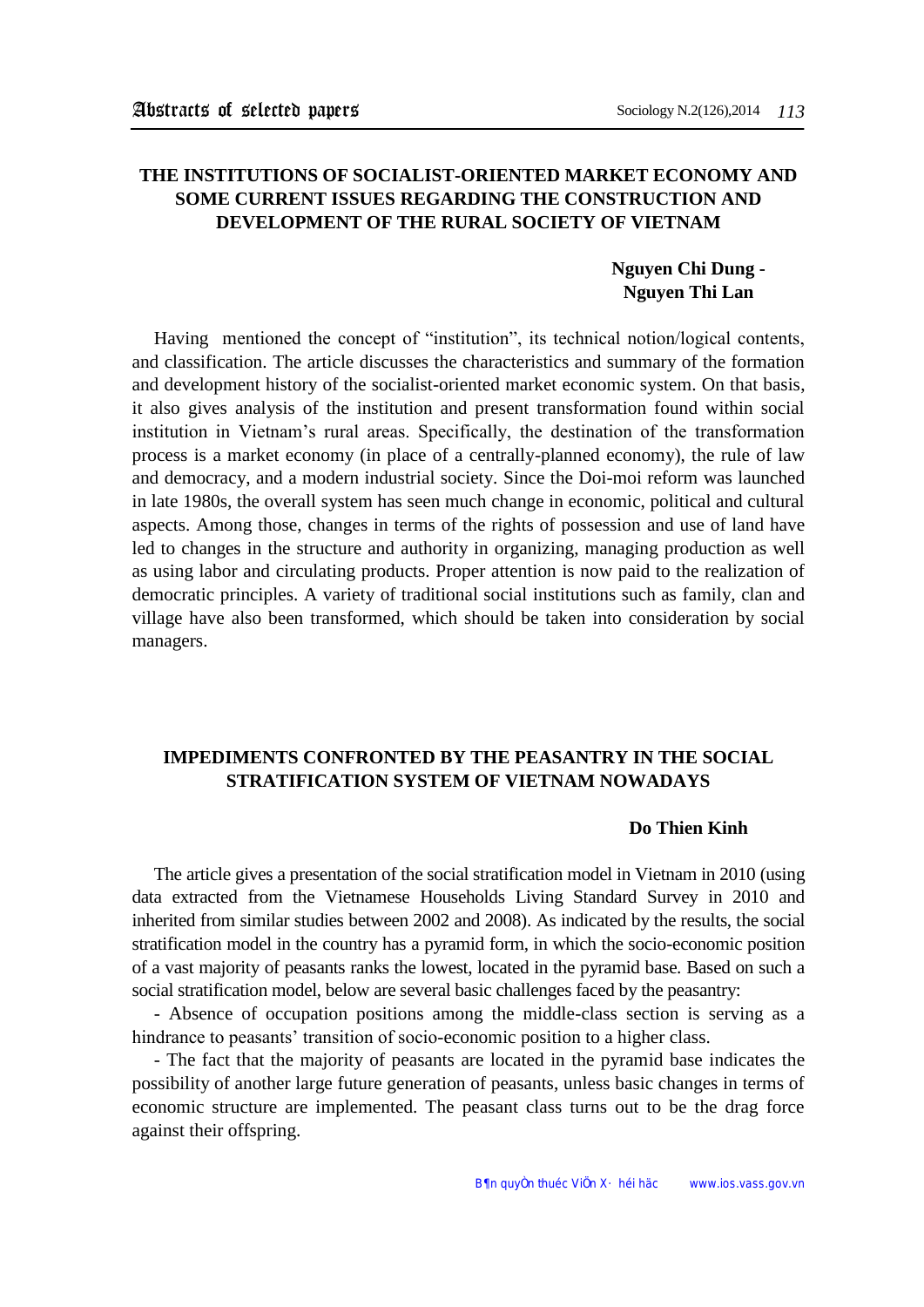## **THE INSTITUTIONS OF SOCIALIST-ORIENTED MARKET ECONOMY AND SOME CURRENT ISSUES REGARDING THE CONSTRUCTION AND DEVELOPMENT OF THE RURAL SOCIETY OF VIETNAM**

### **Nguyen Chi Dung - Nguyen Thi Lan**

Having mentioned the concept of "institution", its technical notion/logical contents, and classification. The article discusses the characteristics and summary of the formation and development history of the socialist-oriented market economic system. On that basis, it also gives analysis of the institution and present transformation found within social institution in Vietnam's rural areas. Specifically, the destination of the transformation process is a market economy (in place of a centrally-planned economy), the rule of law and democracy, and a modern industrial society. Since the Doi-moi reform was launched in late 1980s, the overall system has seen much change in economic, political and cultural aspects. Among those, changes in terms of the rights of possession and use of land have led to changes in the structure and authority in organizing, managing production as well as using labor and circulating products. Proper attention is now paid to the realization of democratic principles. A variety of traditional social institutions such as family, clan and village have also been transformed, which should be taken into consideration by social managers.

# **IMPEDIMENTS CONFRONTED BY THE PEASANTRY IN THE SOCIAL STRATIFICATION SYSTEM OF VIETNAM NOWADAYS**

#### **Do Thien Kinh**

The article gives a presentation of the social stratification model in Vietnam in 2010 (using data extracted from the Vietnamese Households Living Standard Survey in 2010 and inherited from similar studies between 2002 and 2008). As indicated by the results, the social stratification model in the country has a pyramid form, in which the socio-economic position of a vast majority of peasants ranks the lowest, located in the pyramid base. Based on such a social stratification model, below are several basic challenges faced by the peasantry:

- Absence of occupation positions among the middle-class section is serving as a hindrance to peasants' transition of socio-economic position to a higher class.

- The fact that the majority of peasants are located in the pyramid base indicates the possibility of another large future generation of peasants, unless basic changes in terms of economic structure are implemented. The peasant class turns out to be the drag force against their offspring.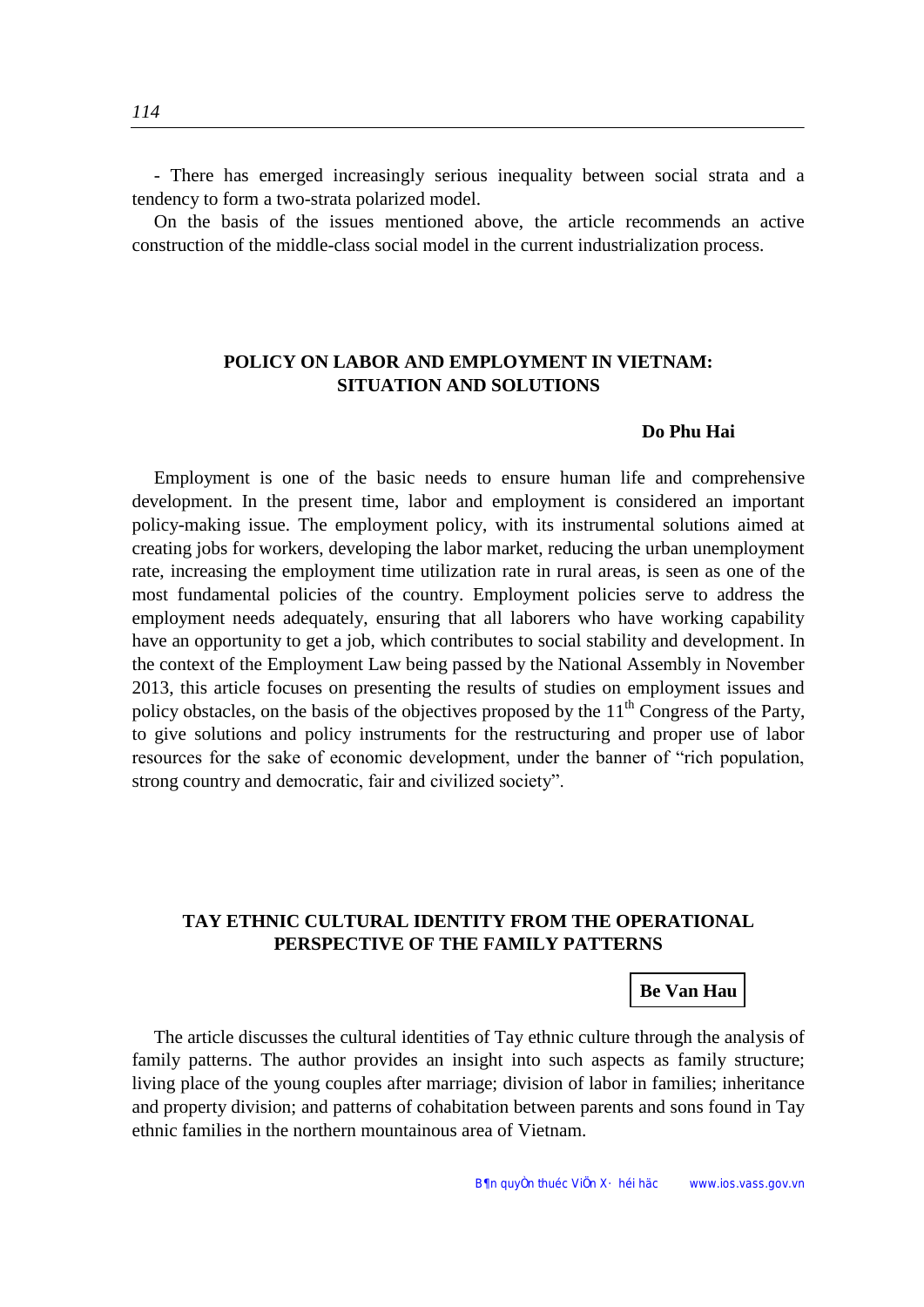- There has emerged increasingly serious inequality between social strata and a tendency to form a two-strata polarized model.

On the basis of the issues mentioned above, the article recommends an active construction of the middle-class social model in the current industrialization process.

### **POLICY ON LABOR AND EMPLOYMENT IN VIETNAM: SITUATION AND SOLUTIONS**

#### **Do Phu Hai**

Employment is one of the basic needs to ensure human life and comprehensive development. In the present time, labor and employment is considered an important policy-making issue. The employment policy, with its instrumental solutions aimed at creating jobs for workers, developing the labor market, reducing the urban unemployment rate, increasing the employment time utilization rate in rural areas, is seen as one of the most fundamental policies of the country. Employment policies serve to address the employment needs adequately, ensuring that all laborers who have working capability have an opportunity to get a job, which contributes to social stability and development. In the context of the Employment Law being passed by the National Assembly in November 2013, this article focuses on presenting the results of studies on employment issues and policy obstacles, on the basis of the objectives proposed by the  $11<sup>th</sup>$  Congress of the Party, to give solutions and policy instruments for the restructuring and proper use of labor resources for the sake of economic development, under the banner of "rich population, strong country and democratic, fair and civilized society".

## **TAY ETHNIC CULTURAL IDENTITY FROM THE OPERATIONAL PERSPECTIVE OF THE FAMILY PATTERNS**

### **Be Van Hau**

The article discusses the cultural identities of Tay ethnic culture through the analysis of family patterns. The author provides an insight into such aspects as family structure; living place of the young couples after marriage; division of labor in families; inheritance and property division; and patterns of cohabitation between parents and sons found in Tay ethnic families in the northern mountainous area of Vietnam.